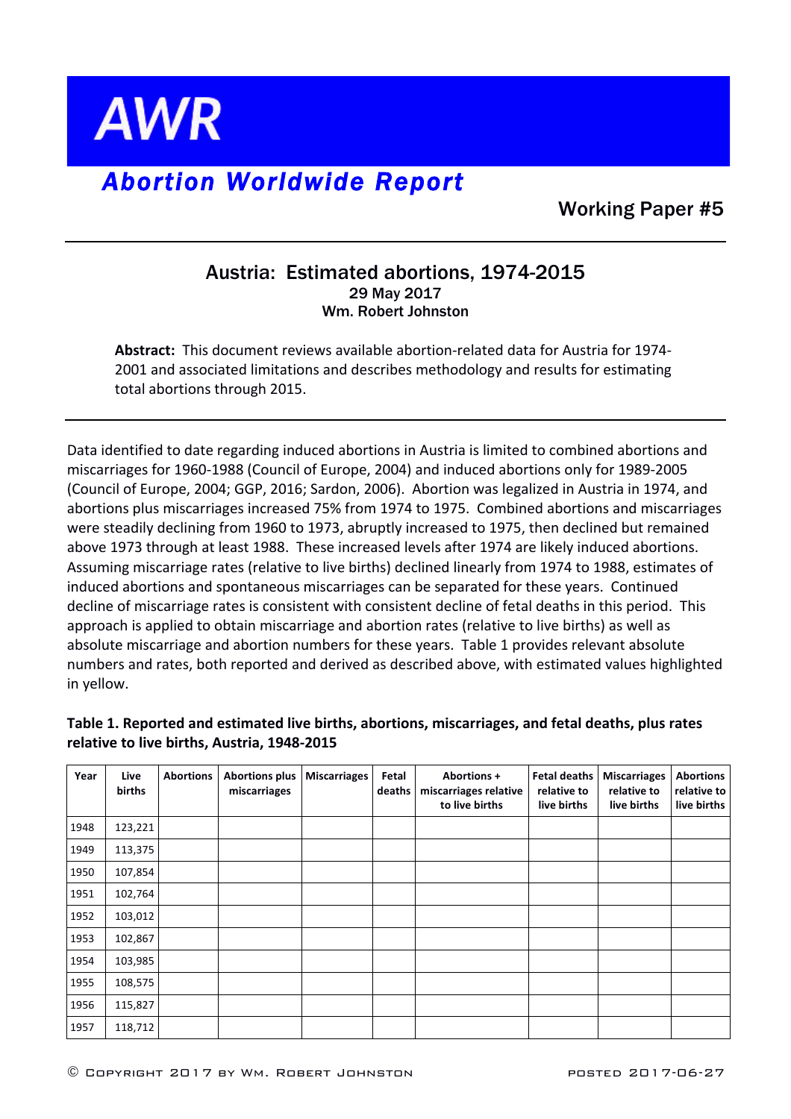

## *Abortion Worldwide Report*

Working Paper #5

## Austria: Estimated abortions, 1974-2015 29 May 2017 Wm. Robert Johnston

**Abstract:** This document reviews available abortion-related data for Austria for 1974-2001 and associated limitations and describes methodology and results for estimating total abortions through 2015.

Data identified to date regarding induced abortions in Austria is limited to combined abortions and miscarriages for 1960-1988 (Council of Europe, 2004) and induced abortions only for 1989-2005 (Council of Europe, 2004; GGP, 2016; Sardon, 2006). Abortion was legalized in Austria in 1974, and abortions plus miscarriages increased 75% from 1974 to 1975. Combined abortions and miscarriages were steadily declining from 1960 to 1973, abruptly increased to 1975, then declined but remained above 1973 through at least 1988. These increased levels after 1974 are likely induced abortions. Assuming miscarriage rates (relative to live births) declined linearly from 1974 to 1988, estimates of induced abortions and spontaneous miscarriages can be separated for these years. Continued decline of miscarriage rates is consistent with consistent decline of fetal deaths in this period. This approach is applied to obtain miscarriage and abortion rates (relative to live births) as well as absolute miscarriage and abortion numbers for these years. Table 1 provides relevant absolute numbers and rates, both reported and derived as described above, with estimated values highlighted in yellow.

## **Table 1. Reported and estimated live births, abortions, miscarriages, and fetal deaths, plus rates**  relative to live births, Austria, 1948-2015

| Year | Live<br>births | <b>Abortions</b> | <b>Abortions plus</b><br>miscarriages | <b>Miscarriages</b> | Fetal<br>deaths | <b>Abortions +</b><br>miscarriages relative<br>to live births | <b>Fetal deaths</b><br>relative to<br>live births | <b>Miscarriages</b><br>relative to<br>live births | <b>Abortions</b><br>relative to<br>live births |
|------|----------------|------------------|---------------------------------------|---------------------|-----------------|---------------------------------------------------------------|---------------------------------------------------|---------------------------------------------------|------------------------------------------------|
| 1948 | 123,221        |                  |                                       |                     |                 |                                                               |                                                   |                                                   |                                                |
| 1949 | 113,375        |                  |                                       |                     |                 |                                                               |                                                   |                                                   |                                                |
| 1950 | 107,854        |                  |                                       |                     |                 |                                                               |                                                   |                                                   |                                                |
| 1951 | 102,764        |                  |                                       |                     |                 |                                                               |                                                   |                                                   |                                                |
| 1952 | 103,012        |                  |                                       |                     |                 |                                                               |                                                   |                                                   |                                                |
| 1953 | 102,867        |                  |                                       |                     |                 |                                                               |                                                   |                                                   |                                                |
| 1954 | 103,985        |                  |                                       |                     |                 |                                                               |                                                   |                                                   |                                                |
| 1955 | 108,575        |                  |                                       |                     |                 |                                                               |                                                   |                                                   |                                                |
| 1956 | 115,827        |                  |                                       |                     |                 |                                                               |                                                   |                                                   |                                                |
| 1957 | 118,712        |                  |                                       |                     |                 |                                                               |                                                   |                                                   |                                                |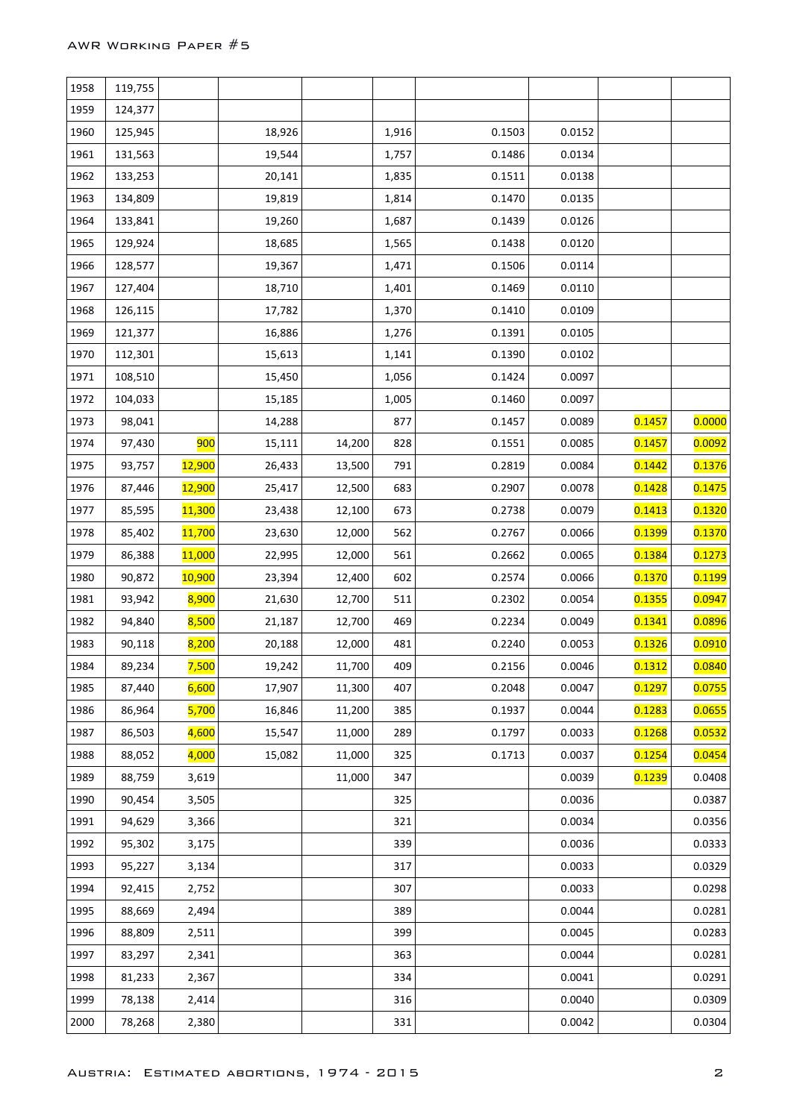| 1958 | 119,755 |               |        |        |       |        |        |        |        |
|------|---------|---------------|--------|--------|-------|--------|--------|--------|--------|
| 1959 | 124,377 |               |        |        |       |        |        |        |        |
| 1960 | 125,945 |               | 18,926 |        | 1,916 | 0.1503 | 0.0152 |        |        |
| 1961 | 131,563 |               | 19,544 |        | 1,757 | 0.1486 | 0.0134 |        |        |
| 1962 | 133,253 |               | 20,141 |        | 1,835 | 0.1511 | 0.0138 |        |        |
| 1963 | 134,809 |               | 19,819 |        | 1,814 | 0.1470 | 0.0135 |        |        |
| 1964 | 133,841 |               | 19,260 |        | 1,687 | 0.1439 | 0.0126 |        |        |
| 1965 | 129,924 |               | 18,685 |        | 1,565 | 0.1438 | 0.0120 |        |        |
| 1966 | 128,577 |               | 19,367 |        | 1,471 | 0.1506 | 0.0114 |        |        |
| 1967 | 127,404 |               | 18,710 |        | 1,401 | 0.1469 | 0.0110 |        |        |
| 1968 | 126,115 |               | 17,782 |        | 1,370 | 0.1410 | 0.0109 |        |        |
| 1969 | 121,377 |               | 16,886 |        | 1,276 | 0.1391 | 0.0105 |        |        |
| 1970 | 112,301 |               | 15,613 |        | 1,141 | 0.1390 | 0.0102 |        |        |
| 1971 | 108,510 |               | 15,450 |        | 1,056 | 0.1424 | 0.0097 |        |        |
| 1972 | 104,033 |               | 15,185 |        | 1,005 | 0.1460 | 0.0097 |        |        |
| 1973 | 98,041  |               | 14,288 |        | 877   | 0.1457 | 0.0089 | 0.1457 | 0.0000 |
| 1974 | 97,430  | 900           | 15,111 | 14,200 | 828   | 0.1551 | 0.0085 | 0.1457 | 0.0092 |
| 1975 | 93,757  | 12,900        | 26,433 | 13,500 | 791   | 0.2819 | 0.0084 | 0.1442 | 0.1376 |
| 1976 | 87,446  | 12,900        | 25,417 | 12,500 | 683   | 0.2907 | 0.0078 | 0.1428 | 0.1475 |
| 1977 | 85,595  | 11,300        | 23,438 | 12,100 | 673   | 0.2738 | 0.0079 | 0.1413 | 0.1320 |
| 1978 | 85,402  | 11,700        | 23,630 | 12,000 | 562   | 0.2767 | 0.0066 | 0.1399 | 0.1370 |
| 1979 | 86,388  | <b>11,000</b> | 22,995 | 12,000 | 561   | 0.2662 | 0.0065 | 0.1384 | 0.1273 |
| 1980 | 90,872  | 10,900        | 23,394 | 12,400 | 602   | 0.2574 | 0.0066 | 0.1370 | 0.1199 |
| 1981 | 93,942  | 8,900         | 21,630 | 12,700 | 511   | 0.2302 | 0.0054 | 0.1355 | 0.0947 |
| 1982 | 94,840  | 8,500         | 21,187 | 12,700 | 469   | 0.2234 | 0.0049 | 0.1341 | 0.0896 |
| 1983 | 90,118  | 8,200         | 20,188 | 12,000 | 481   | 0.2240 | 0.0053 | 0.1326 | 0.0910 |
| 1984 | 89,234  | 7,500         | 19,242 | 11,700 | 409   | 0.2156 | 0.0046 | 0.1312 | 0.0840 |
| 1985 | 87,440  | 6,600         | 17,907 | 11,300 | 407   | 0.2048 | 0.0047 | 0.1297 | 0.0755 |
| 1986 | 86,964  | 5,700         | 16,846 | 11,200 | 385   | 0.1937 | 0.0044 | 0.1283 | 0.0655 |
| 1987 | 86,503  | 4,600         | 15,547 | 11,000 | 289   | 0.1797 | 0.0033 | 0.1268 | 0.0532 |
| 1988 | 88,052  | 4,000         | 15,082 | 11,000 | 325   | 0.1713 | 0.0037 | 0.1254 | 0.0454 |
| 1989 | 88,759  | 3,619         |        | 11,000 | 347   |        | 0.0039 | 0.1239 | 0.0408 |
| 1990 | 90,454  | 3,505         |        |        | 325   |        | 0.0036 |        | 0.0387 |
| 1991 | 94,629  | 3,366         |        |        | 321   |        | 0.0034 |        | 0.0356 |
| 1992 | 95,302  | 3,175         |        |        | 339   |        | 0.0036 |        | 0.0333 |
| 1993 | 95,227  | 3,134         |        |        | 317   |        | 0.0033 |        | 0.0329 |
| 1994 | 92,415  | 2,752         |        |        | 307   |        | 0.0033 |        | 0.0298 |
| 1995 | 88,669  | 2,494         |        |        | 389   |        | 0.0044 |        | 0.0281 |
| 1996 | 88,809  | 2,511         |        |        | 399   |        | 0.0045 |        | 0.0283 |
| 1997 | 83,297  | 2,341         |        |        | 363   |        | 0.0044 |        | 0.0281 |
| 1998 | 81,233  | 2,367         |        |        | 334   |        | 0.0041 |        | 0.0291 |
| 1999 | 78,138  | 2,414         |        |        | 316   |        | 0.0040 |        | 0.0309 |
| 2000 | 78,268  | 2,380         |        |        | 331   |        | 0.0042 |        | 0.0304 |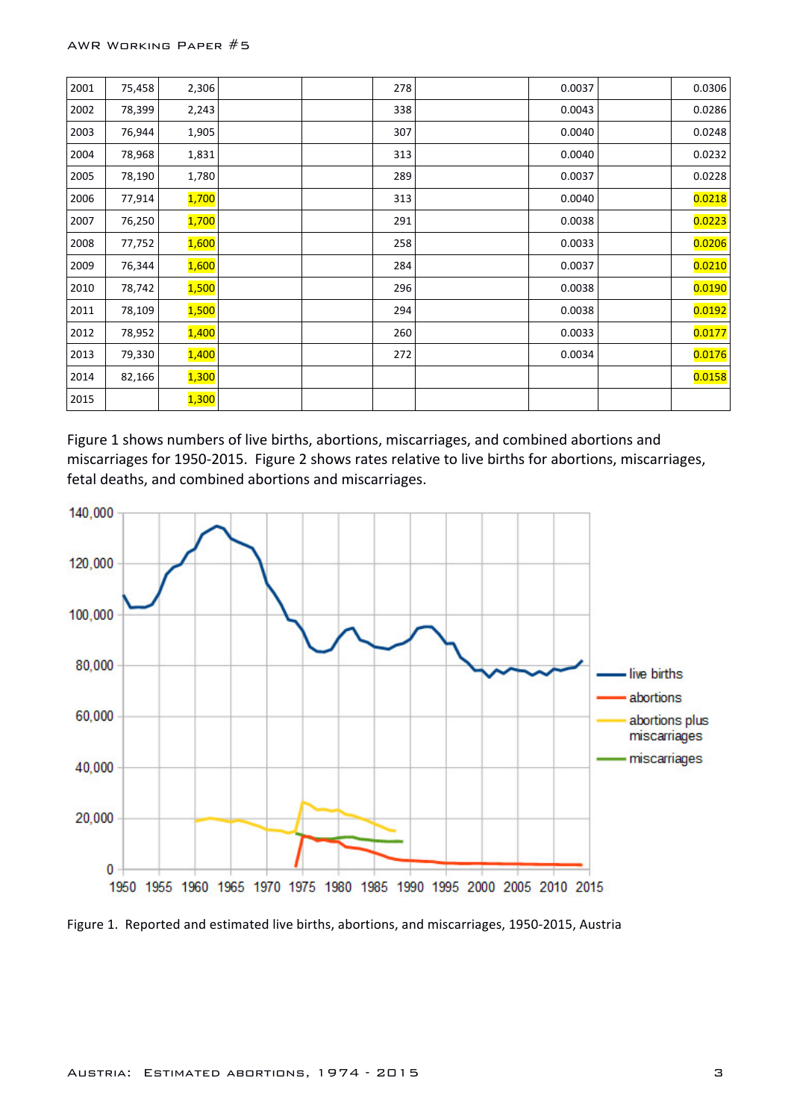| 2001 | 75,458 | 2,306 |  | 278 | 0.0037 | 0.0306 |
|------|--------|-------|--|-----|--------|--------|
| 2002 | 78,399 | 2,243 |  | 338 | 0.0043 | 0.0286 |
| 2003 | 76,944 | 1,905 |  | 307 | 0.0040 | 0.0248 |
| 2004 | 78,968 | 1,831 |  | 313 | 0.0040 | 0.0232 |
| 2005 | 78,190 | 1,780 |  | 289 | 0.0037 | 0.0228 |
| 2006 | 77,914 | 1,700 |  | 313 | 0.0040 | 0.0218 |
| 2007 | 76,250 | 1,700 |  | 291 | 0.0038 | 0.0223 |
| 2008 | 77,752 | 1,600 |  | 258 | 0.0033 | 0.0206 |
| 2009 | 76,344 | 1,600 |  | 284 | 0.0037 | 0.0210 |
| 2010 | 78,742 | 1,500 |  | 296 | 0.0038 | 0.0190 |
| 2011 | 78,109 | 1,500 |  | 294 | 0.0038 | 0.0192 |
| 2012 | 78,952 | 1,400 |  | 260 | 0.0033 | 0.0177 |
| 2013 | 79,330 | 1,400 |  | 272 | 0.0034 | 0.0176 |
| 2014 | 82,166 | 1,300 |  |     |        | 0.0158 |
| 2015 |        | 1,300 |  |     |        |        |

Figure 1 shows numbers of live births, abortions, miscarriages, and combined abortions and miscarriages for 1950-2015. Figure 2 shows rates relative to live births for abortions, miscarriages, fetal deaths, and combined abortions and miscarriages.



Figure 1. Reported and estimated live births, abortions, and miscarriages, 1950-2015, Austria